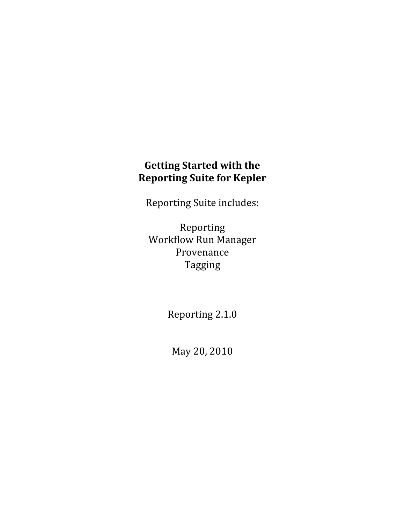# **Getting Started with the Reporting Suite for Kepler**

Reporting Suite includes:

Reporting Workflow Run Manager Provenance Tagging

Reporting 2.1.0

May 20, 2010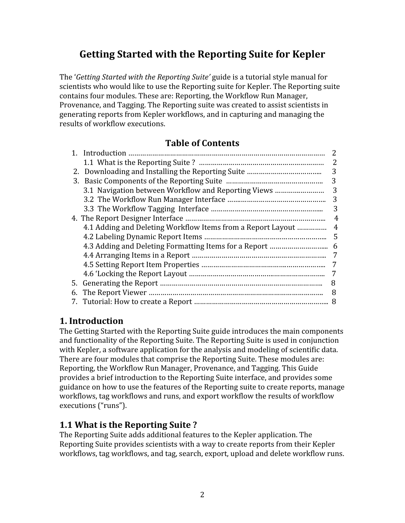# **Getting Started with the Reporting Suite for Kepler**

The '*Getting Started with the Reporting Suite'* guide is a tutorial style manual for scientists who would like to use the Reporting suite for Kepler. The Reporting suite contains four modules. These are: Reporting, the Workflow Run Manager, Provenance, and Tagging. The Reporting suite was created to assist scientists in generating reports from Kepler workflows, and in capturing and managing the results of workflow executions.

#### **Table of Contents**

|    |                                                             | $\mathcal{P}$  |
|----|-------------------------------------------------------------|----------------|
|    |                                                             | 2              |
|    |                                                             | 3              |
|    |                                                             | 3              |
|    | 3.1 Navigation between Workflow and Reporting Views         | 3              |
|    |                                                             | 3              |
|    |                                                             | 3              |
|    |                                                             | 4              |
|    | 4.1 Adding and Deleting Workflow Items from a Report Layout | $\overline{4}$ |
|    |                                                             | 5              |
|    |                                                             | 6              |
|    |                                                             | 7              |
|    |                                                             | 7              |
|    |                                                             | 7              |
|    |                                                             | 8              |
| 6. |                                                             | 8              |
|    |                                                             |                |

#### **1. Introduction**

The Getting Started with the Reporting Suite guide introduces the main components and functionality of the Reporting Suite. The Reporting Suite is used in conjunction with Kepler, a software application for the analysis and modeling of scientific data. There are four modules that comprise the Reporting Suite. These modules are: Reporting, the Workflow Run Manager, Provenance, and Tagging. This Guide provides a brief introduction to the Reporting Suite interface, and provides some guidance on how to use the features of the Reporting suite to create reports, manage workflows, tag workflows and runs, and export workflow the results of workflow executions ("runs").

#### **1.1 What is the Reporting Suite ?**

The Reporting Suite adds additional features to the Kepler application. The Reporting Suite provides scientists with a way to create reports from their Kepler workflows, tag workflows, and tag, search, export, upload and delete workflow runs.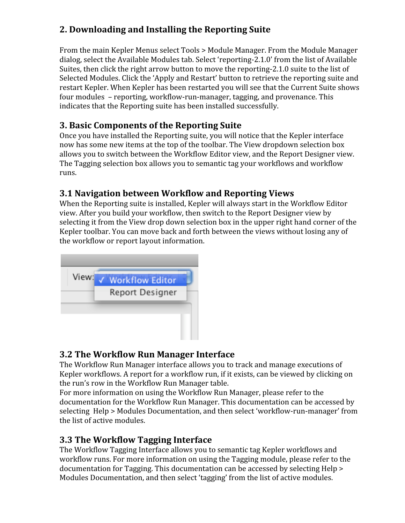# **2. Downloading and Installing the Reporting Suite**

From the main Kepler Menus select Tools > Module Manager. From the Module Manager dialog, select the Available Modules tab. Select 'reporting‐2.1.0' from the list of Available Suites, then click the right arrow button to move the reporting‐2.1.0 suite to the list of Selected Modules. Click the 'Apply and Restart' button to retrieve the reporting suite and restart Kepler. When Kepler has been restarted you will see that the Current Suite shows four modules – reporting, workflow‐run‐manager, tagging, and provenance. This indicates that the Reporting suite has been installed successfully.

### **3. Basic Components of the Reporting Suite**

Once you have installed the Reporting suite, you will notice that the Kepler interface now has some new items at the top of the toolbar. The View dropdown selection box allows you to switch between the Workflow Editor view, and the Report Designer view. The Tagging selection box allows you to semantic tag your workflows and workflow runs.

# **3.1 Navigation between Workflow and Reporting Views**

When the Reporting suite is installed, Kepler will always start in the Workflow Editor view. After you build your workflow, then switch to the Report Designer view by selecting it from the View drop down selection box in the upper right hand corner of the Kepler toolbar. You can move back and forth between the views without losing any of the workflow or report layout information.



# **3.2 The Workflow Run Manager Interface**

The Workflow Run Manager interface allows you to track and manage executions of Kepler workflows. A report for a workflow run, if it exists, can be viewed by clicking on the run's row in the Workflow Run Manager table.

For more information on using the Workflow Run Manager, please refer to the documentation for the Workflow Run Manager. This documentation can be accessed by selecting Help > Modules Documentation, and then select 'workflow‐run‐manager' from the list of active modules.

# **3.3 The Workflow Tagging Interface**

The Workflow Tagging Interface allows you to semantic tag Kepler workflows and workflow runs. For more information on using the Tagging module, please refer to the documentation for Tagging. This documentation can be accessed by selecting Help > Modules Documentation, and then select 'tagging' from the list of active modules.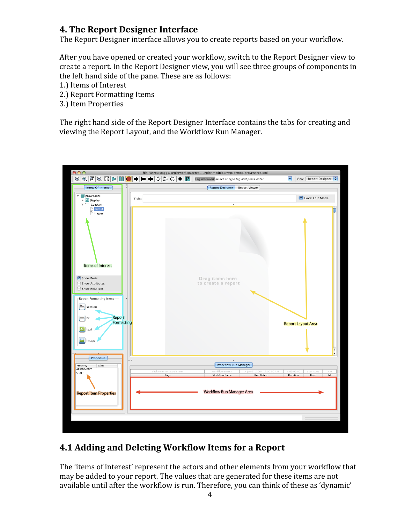### **4. The Report Designer Interface**

The Report Designer interface allows you to create reports based on your workflow.

After you have opened or created your workflow, switch to the Report Designer view to create a report. In the Report Designer view, you will see three groups of components in the left hand side of the pane. These are as follows:

- 1.) Items of Interest
- 2.) Report Formatting Items
- 3.) Item Properties

The right hand side of the Report Designer Interface contains the tabs for creating and viewing the Report Layout, and the Workflow Run Manager.



# **4.1 Adding and Deleting Workflow Items for a Report**

The 'items of interest' represent the actors and other elements from your workflow that may be added to your report. The values that are generated for these items are not available until after the workflow is run. Therefore, you can think of these as 'dynamic'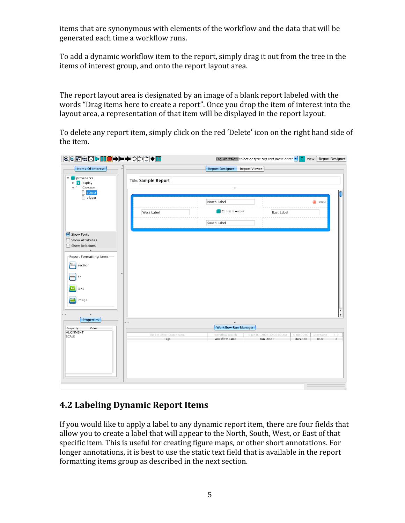items that are synonymous with elements of the workflow and the data that will be generated each time a workflow runs.

To add a dynamic workflow item to the report, simply drag it out from the tree in the items of interest group, and onto the report layout area.

The report layout area is designated by an image of a blank report labeled with the words "Drag items here to create a report". Once you drop the item of interest into the layout area, a representation of that item will be displayed in the report layout.

To delete any report item, simply click on the red 'Delete' icon on the right hand side of the item.

| QQRQB>IO● FFODDO                                                                                                                       | Tag workflow select or type tag and press enter $\mathbf{r}$ $\boxed{\mathbf{T}}$ View: Report Designer                                                                                                                           |                |
|----------------------------------------------------------------------------------------------------------------------------------------|-----------------------------------------------------------------------------------------------------------------------------------------------------------------------------------------------------------------------------------|----------------|
| Items Of Interest                                                                                                                      | <b>Report Designer</b><br>Report Viewer                                                                                                                                                                                           |                |
| provenance<br>$\overline{\mathbf{v}}$<br><b>T</b> Display<br>Þ<br>$\overline{\phantom{m}}$ Constant<br>cutput                          | Title: Sample Report                                                                                                                                                                                                              |                |
| trigger                                                                                                                                | North Label<br><b>O</b> Delete<br>Constant.output<br>East Label<br>West Label<br>South Label                                                                                                                                      |                |
| Show Ports<br>Show Attributes<br>Show Relations<br>$\lambda$<br>-Report Formatting Items<br>Aa<br>section<br>hr<br>A.<br>text<br>image |                                                                                                                                                                                                                                   |                |
| $\hat{\phantom{a}}$<br>Properties<br>Property<br>Value<br><b>ALIGNMENT</b><br>SCALE                                                    | $\triangle~\forall$<br>۰<br><b>Workflow Run Manager</b><br>click to enter search term<br>workflow search<br>> Jan 01, 2004 12:00:00 AM<br>>00:00:00<br>username<br>Tags<br><b>Workflow Name</b><br>Run Date =<br>Duration<br>User | ₹<br>> 0<br>Id |

#### **4.2 Labeling Dynamic Report Items**

If you would like to apply a label to any dynamic report item, there are four fields that allow you to create a label that will appear to the North, South, West, or East of that specific item. This is useful for creating figure maps, or other short annotations. For longer annotations, it is best to use the static text field that is available in the report formatting items group as described in the next section.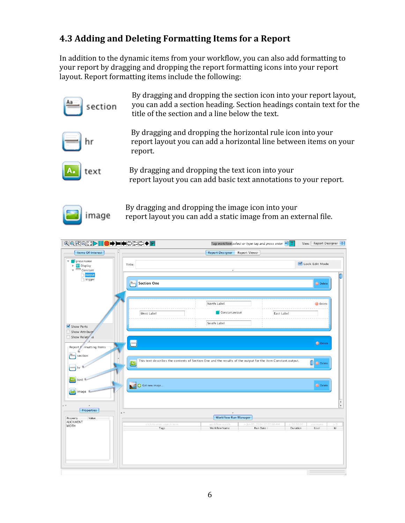# **4.3 Adding and Deleting Formatting Items for a Report**

image

In addition to the dynamic items from your workflow, you can also add formatting to your report by dragging and dropping the report formatting icons into your report layout. Report formatting items include the following:

| section               | By dragging and dropping the section icon into your report layout,<br>you can add a section heading. Section headings contain text for the<br>title of the section and a line below the text. |
|-----------------------|-----------------------------------------------------------------------------------------------------------------------------------------------------------------------------------------------|
|                       | By dragging and dropping the horizontal rule icon into your<br>report layout you can add a horizontal line between items on your<br>report.                                                   |
| <u>  A. J</u><br>text | By dragging and dropping the text icon into your<br>report layout you can add basic text annotations to your report.                                                                          |

By dragging and dropping the image icon into your report layout you can add a static image from an external file.

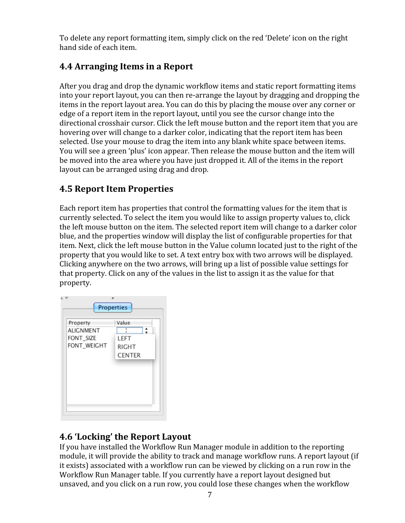To delete any report formatting item, simply click on the red 'Delete' icon on the right hand side of each item.

# **4.4 Arranging Items in a Report**

After you drag and drop the dynamic workflow items and static report formatting items into your report layout, you can then re‐arrange the layout by dragging and dropping the items in the report layout area. You can do this by placing the mouse over any corner or edge of a report item in the report layout, until you see the cursor change into the directional crosshair cursor. Click the left mouse button and the report item that you are hovering over will change to a darker color, indicating that the report item has been selected. Use your mouse to drag the item into any blank white space between items. You will see a green 'plus' icon appear. Then release the mouse button and the item will be moved into the area where you have just dropped it. All of the items in the report layout can be arranged using drag and drop.

### **4.5 Report Item Properties**

Each report item has properties that control the formatting values for the item that is currently selected. To select the item you would like to assign property values to, click the left mouse button on the item. The selected report item will change to a darker color blue, and the properties window will display the list of configurable properties for that item. Next, click the left mouse button in the Value column located just to the right of the property that you would like to set. A text entry box with two arrows will be displayed. Clicking anywhere on the two arrows, will bring up a list of possible value settings for that property. Click on any of the values in the list to assign it as the value for that property.



# **4.6 'Locking' the Report Layout**

If you have installed the Workflow Run Manager module in addition to the reporting module, it will provide the ability to track and manage workflow runs. A report layout (if it exists) associated with a workflow run can be viewed by clicking on a run row in the Workflow Run Manager table. If you currently have a report layout designed but unsaved, and you click on a run row, you could lose these changes when the workflow